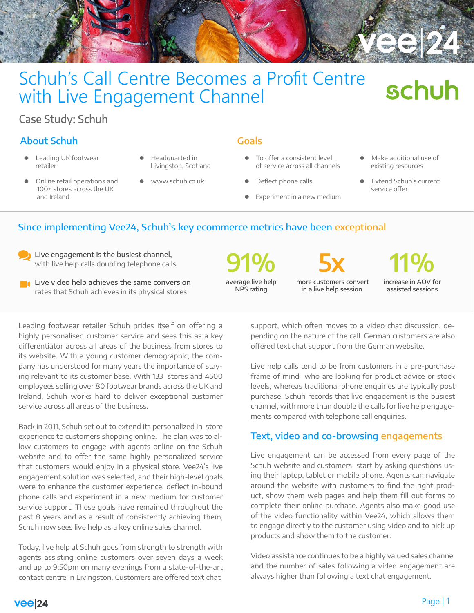

# Schuh's Call Centre Becomes a Profit Centre with Live Engagement Channel

# Case Study: Schuh

# About Schuh Goals

- l Leading UK footwear retailer
- l Headquarted in Livingston, Scotland
- Online retail operations and 100+ stores across the UK and Ireland
- 
- l www.schuh.co.uk

- To offer a consistent level of service across all channels
- Deflect phone calls
- Experiment in a new medium
- Make additional use of existing resources

schuh

Extend Schuh's current service offer

# Since implementing Vee24, Schuh's key ecommerce metrics have been exceptional

Live engagement is the busiest channel, with live help calls doubling telephone calls

**Live video help achieves the same conversion** rates that Schuh achieves in its physical stores

average live help NPS rating



 more customers convert in a live help session



increase in AOV for assisted sessions

Leading footwear retailer Schuh prides itself on offering a highly personalised customer service and sees this as a key differentiator across all areas of the business from stores to its website. With a young customer demographic, the company has understood for many years the importance of staying relevant to its customer base. With 133 stores and 4500 employees selling over 80 footwear brands across the UK and Ireland, Schuh works hard to deliver exceptional customer service across all areas of the business.

Back in 2011, Schuh set out to extend its personalized in-store experience to customers shopping online. The plan was to allow customers to engage with agents online on the Schuh website and to offer the same highly personalized service that customers would enjoy in a physical store. Vee24's live engagement solution was selected, and their high-level goals were to enhance the customer experience, deflect in-bound phone calls and experiment in a new medium for customer service support. These goals have remained throughout the past 8 years and as a result of consistently achieving them, Schuh now sees live help as a key online sales channel.

Today, live help at Schuh goes from strength to strength with agents assisting online customers over seven days a week and up to 9:50pm on many evenings from a state-of-the-art contact centre in Livingston. Customers are offered text chat

support, which often moves to a video chat discussion, depending on the nature of the call. German customers are also offered text chat support from the German website.

Live help calls tend to be from customers in a pre-purchase frame of mind who are looking for product advice or stock levels, whereas traditional phone enquiries are typically post purchase. Schuh records that live engagement is the busiest channel, with more than double the calls for live help engagements compared with telephone call enquiries.

# Text, video and co-browsing engagements

Live engagement can be accessed from every page of the Schuh website and customers start by asking questions using their laptop, tablet or mobile phone. Agents can navigate around the website with customers to find the right product, show them web pages and help them fill out forms to complete their online purchase. Agents also make good use of the video functionality within Vee24, which allows them to engage directly to the customer using video and to pick up products and show them to the customer.

Video assistance continues to be a highly valued sales channel and the number of sales following a video engagement are always higher than following a text chat engagement.